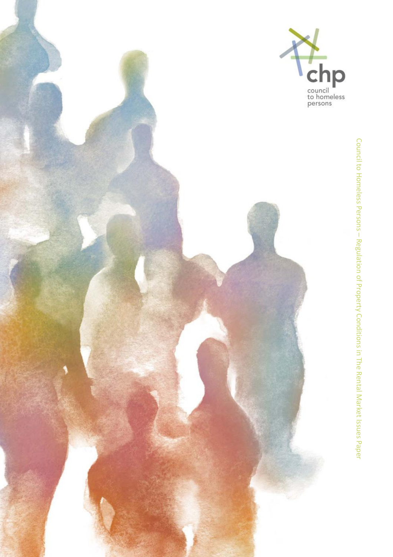

Council to Homeless Persons Council to Homeless Persons - Regulation of Property Conditions in The Rental Market Issues Paper Regulation of Property Conditions in The Rental Market Issues Paper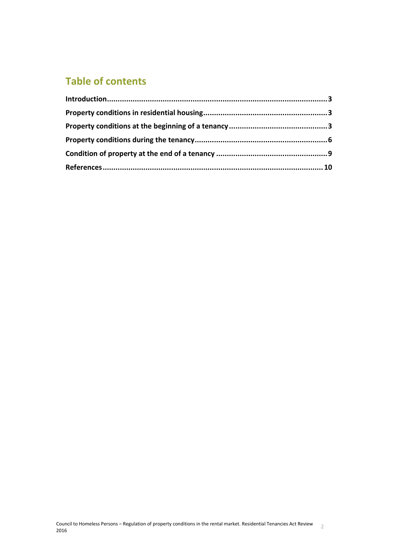# **Table of contents**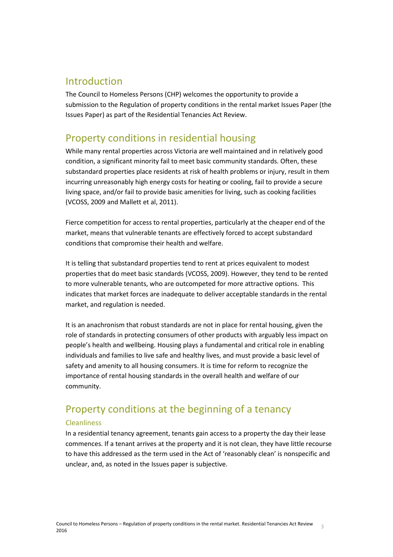## <span id="page-2-0"></span>Introduction

The Council to Homeless Persons (CHP) welcomes the opportunity to provide a submission to the Regulation of property conditions in the rental market Issues Paper (the Issues Paper) as part of the Residential Tenancies Act Review.

## <span id="page-2-1"></span>Property conditions in residential housing

While many rental properties across Victoria are well maintained and in relatively good condition, a significant minority fail to meet basic community standards. Often, these substandard properties place residents at risk of health problems or injury, result in them incurring unreasonably high energy costs for heating or cooling, fail to provide a secure living space, and/or fail to provide basic amenities for living, such as cooking facilities (VCOSS, 2009 and Mallett et al, 2011).

Fierce competition for access to rental properties, particularly at the cheaper end of the market, means that vulnerable tenants are effectively forced to accept substandard conditions that compromise their health and welfare.

It is telling that substandard properties tend to rent at prices equivalent to modest properties that do meet basic standards (VCOSS, 2009). However, they tend to be rented to more vulnerable tenants, who are outcompeted for more attractive options. This indicates that market forces are inadequate to deliver acceptable standards in the rental market, and regulation is needed.

It is an anachronism that robust standards are not in place for rental housing, given the role of standards in protecting consumers of other products with arguably less impact on people's health and wellbeing. Housing plays a fundamental and critical role in enabling individuals and families to live safe and healthy lives, and must provide a basic level of safety and amenity to all housing consumers. It is time for reform to recognize the importance of rental housing standards in the overall health and welfare of our community.

# <span id="page-2-2"></span>Property conditions at the beginning of a tenancy

### **Cleanliness**

In a residential tenancy agreement, tenants gain access to a property the day their lease commences. If a tenant arrives at the property and it is not clean, they have little recourse to have this addressed as the term used in the Act of 'reasonably clean' is nonspecific and unclear, and, as noted in the Issues paper is subjective.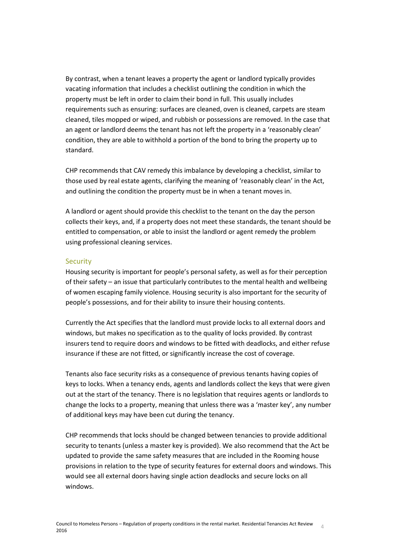By contrast, when a tenant leaves a property the agent or landlord typically provides vacating information that includes a checklist outlining the condition in which the property must be left in order to claim their bond in full. This usually includes requirements such as ensuring: surfaces are cleaned, oven is cleaned, carpets are steam cleaned, tiles mopped or wiped, and rubbish or possessions are removed. In the case that an agent or landlord deems the tenant has not left the property in a 'reasonably clean' condition, they are able to withhold a portion of the bond to bring the property up to standard.

CHP recommends that CAV remedy this imbalance by developing a checklist, similar to those used by real estate agents, clarifying the meaning of 'reasonably clean' in the Act, and outlining the condition the property must be in when a tenant moves in.

A landlord or agent should provide this checklist to the tenant on the day the person collects their keys, and, if a property does not meet these standards, the tenant should be entitled to compensation, or able to insist the landlord or agent remedy the problem using professional cleaning services.

### **Security**

Housing security is important for people's personal safety, as well as for their perception of their safety – an issue that particularly contributes to the mental health and wellbeing of women escaping family violence. Housing security is also important for the security of people's possessions, and for their ability to insure their housing contents.

Currently the Act specifies that the landlord must provide locks to all external doors and windows, but makes no specification as to the quality of locks provided. By contrast insurers tend to require doors and windows to be fitted with deadlocks, and either refuse insurance if these are not fitted, or significantly increase the cost of coverage.

Tenants also face security risks as a consequence of previous tenants having copies of keys to locks. When a tenancy ends, agents and landlords collect the keys that were given out at the start of the tenancy. There is no legislation that requires agents or landlords to change the locks to a property, meaning that unless there was a 'master key', any number of additional keys may have been cut during the tenancy.

CHP recommends that locks should be changed between tenancies to provide additional security to tenants (unless a master key is provided). We also recommend that the Act be updated to provide the same safety measures that are included in the Rooming house provisions in relation to the type of security features for external doors and windows. This would see all external doors having single action deadlocks and secure locks on all windows.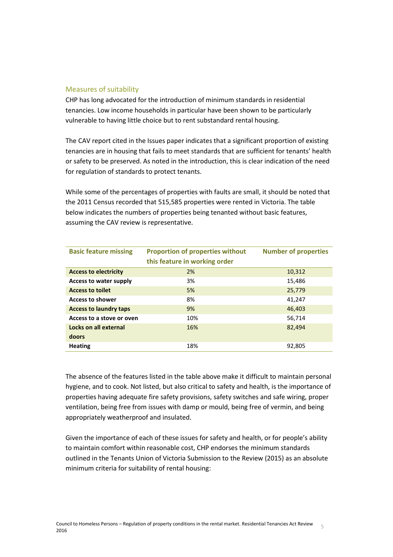### Measures of suitability

CHP has long advocated for the introduction of minimum standards in residential tenancies. Low income households in particular have been shown to be particularly vulnerable to having little choice but to rent substandard rental housing.

The CAV report cited in the Issues paper indicates that a significant proportion of existing tenancies are in housing that fails to meet standards that are sufficient for tenants' health or safety to be preserved. As noted in the introduction, this is clear indication of the need for regulation of standards to protect tenants.

While some of the percentages of properties with faults are small, it should be noted that the 2011 Census recorded that 515,585 properties were rented in Victoria. The table below indicates the numbers of properties being tenanted without basic features, assuming the CAV review is representative.

| <b>Basic feature missing</b>  | <b>Proportion of properties without</b> | <b>Number of properties</b> |
|-------------------------------|-----------------------------------------|-----------------------------|
|                               | this feature in working order           |                             |
| <b>Access to electricity</b>  | 2%                                      | 10,312                      |
| Access to water supply        | 3%                                      | 15,486                      |
| <b>Access to toilet</b>       | 5%                                      | 25,779                      |
| <b>Access to shower</b>       | 8%                                      | 41,247                      |
| <b>Access to laundry taps</b> | 9%                                      | 46,403                      |
| Access to a stove or oven     | 10%                                     | 56,714                      |
| Locks on all external         | 16%                                     | 82,494                      |
| doors                         |                                         |                             |
| <b>Heating</b>                | 18%                                     | 92,805                      |

The absence of the features listed in the table above make it difficult to maintain personal hygiene, and to cook. Not listed, but also critical to safety and health, is the importance of properties having adequate fire safety provisions, safety switches and safe wiring, proper ventilation, being free from issues with damp or mould, being free of vermin, and being appropriately weatherproof and insulated.

Given the importance of each of these issues for safety and health, or for people's ability to maintain comfort within reasonable cost, CHP endorses the minimum standards outlined in the Tenants Union of Victoria Submission to the Review (2015) as an absolute minimum criteria for suitability of rental housing: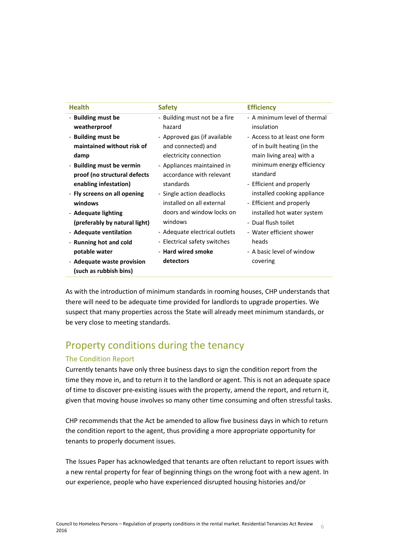| <b>Health</b>                                                                                   | <b>Safety</b>                                                   | <b>Efficiency</b>                              |
|-------------------------------------------------------------------------------------------------|-----------------------------------------------------------------|------------------------------------------------|
| - Building must be                                                                              | - Building must not be a fire                                   | - A minimum level of thermal                   |
| weatherproof                                                                                    | hazard                                                          | insulation                                     |
| - Building must be                                                                              | - Approved gas (if available                                    | - Access to at least one form                  |
| maintained without risk of                                                                      | and connected) and                                              | of in built heating (in the                    |
| damp                                                                                            | electricity connection                                          | main living area) with a                       |
| - Building must be vermin                                                                       | - Appliances maintained in                                      | minimum energy efficiency                      |
| proof (no structural defects                                                                    | accordance with relevant                                        | standard                                       |
| enabling infestation)                                                                           | standards                                                       | - Efficient and properly                       |
| - Fly screens on all opening                                                                    | - Single action deadlocks                                       | installed cooking appliance                    |
| windows                                                                                         | installed on all external                                       | - Efficient and properly                       |
| - Adequate lighting                                                                             | doors and window locks on                                       | installed hot water system                     |
| (preferably by natural light)                                                                   | windows                                                         | - Dual flush toilet                            |
| - Adequate ventilation                                                                          | - Adequate electrical outlets                                   | - Water efficient shower                       |
| - Running hot and cold<br>potable water<br>- Adequate waste provision<br>(such as rubbish bins) | - Electrical safety switches<br>- Hard wired smoke<br>detectors | heads<br>- A basic level of window<br>covering |

As with the introduction of minimum standards in rooming houses, CHP understands that there will need to be adequate time provided for landlords to upgrade properties. We suspect that many properties across the State will already meet minimum standards, or be very close to meeting standards.

## <span id="page-5-0"></span>Property conditions during the tenancy

## The Condition Report

Currently tenants have only three business days to sign the condition report from the time they move in, and to return it to the landlord or agent. This is not an adequate space of time to discover pre-existing issues with the property, amend the report, and return it, given that moving house involves so many other time consuming and often stressful tasks.

CHP recommends that the Act be amended to allow five business days in which to return the condition report to the agent, thus providing a more appropriate opportunity for tenants to properly document issues.

The Issues Paper has acknowledged that tenants are often reluctant to report issues with a new rental property for fear of beginning things on the wrong foot with a new agent. In our experience, people who have experienced disrupted housing histories and/or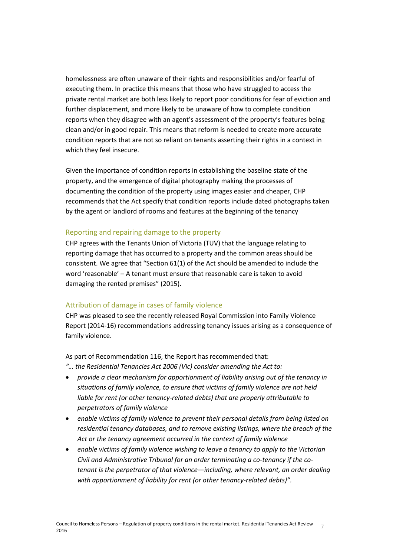homelessness are often unaware of their rights and responsibilities and/or fearful of executing them. In practice this means that those who have struggled to access the private rental market are both less likely to report poor conditions for fear of eviction and further displacement, and more likely to be unaware of how to complete condition reports when they disagree with an agent's assessment of the property's features being clean and/or in good repair. This means that reform is needed to create more accurate condition reports that are not so reliant on tenants asserting their rights in a context in which they feel insecure.

Given the importance of condition reports in establishing the baseline state of the property, and the emergence of digital photography making the processes of documenting the condition of the property using images easier and cheaper, CHP recommends that the Act specify that condition reports include dated photographs taken by the agent or landlord of rooms and features at the beginning of the tenancy

### Reporting and repairing damage to the property

CHP agrees with the Tenants Union of Victoria (TUV) that the language relating to reporting damage that has occurred to a property and the common areas should be consistent. We agree that "Section 61(1) of the Act should be amended to include the word 'reasonable' – A tenant must ensure that reasonable care is taken to avoid damaging the rented premises" (2015).

### Attribution of damage in cases of family violence

CHP was pleased to see the recently released Royal Commission into Family Violence Report (2014-16) recommendations addressing tenancy issues arising as a consequence of family violence.

As part of Recommendation 116, the Report has recommended that:

- *"… the Residential Tenancies Act 2006 (Vic) consider amending the Act to:*
- *provide a clear mechanism for apportionment of liability arising out of the tenancy in situations of family violence, to ensure that victims of family violence are not held liable for rent (or other tenancy-related debts) that are properly attributable to perpetrators of family violence*
- *enable victims of family violence to prevent their personal details from being listed on residential tenancy databases, and to remove existing listings, where the breach of the Act or the tenancy agreement occurred in the context of family violence*
- *enable victims of family violence wishing to leave a tenancy to apply to the Victorian Civil and Administrative Tribunal for an order terminating a co-tenancy if the cotenant is the perpetrator of that violence—including, where relevant, an order dealing with apportionment of liability for rent (or other tenancy-related debts)".*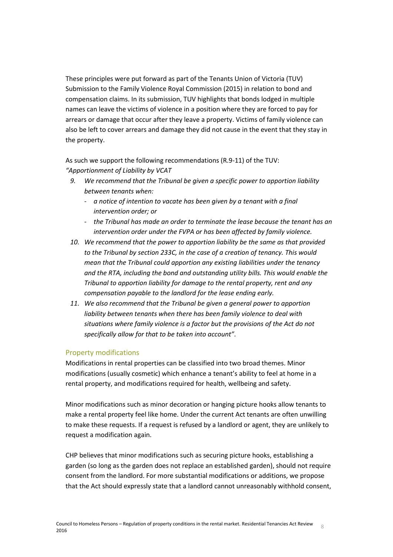These principles were put forward as part of the Tenants Union of Victoria (TUV) Submission to the Family Violence Royal Commission (2015) in relation to bond and compensation claims. In its submission, TUV highlights that bonds lodged in multiple names can leave the victims of violence in a position where they are forced to pay for arrears or damage that occur after they leave a property. Victims of family violence can also be left to cover arrears and damage they did not cause in the event that they stay in the property.

As such we support the following recommendations (R.9-11) of the TUV: *"Apportionment of Liability by VCAT*

- *9. We recommend that the Tribunal be given a specific power to apportion liability between tenants when:* 
	- *a notice of intention to vacate has been given by a tenant with a final intervention order; or*
	- *the Tribunal has made an order to terminate the lease because the tenant has an intervention order under the FVPA or has been affected by family violence.*
- *10. We recommend that the power to apportion liability be the same as that provided to the Tribunal by section 233C, in the case of a creation of tenancy. This would mean that the Tribunal could apportion any existing liabilities under the tenancy and the RTA, including the bond and outstanding utility bills. This would enable the Tribunal to apportion liability for damage to the rental property, rent and any compensation payable to the landlord for the lease ending early.*
- *11. We also recommend that the Tribunal be given a general power to apportion liability between tenants when there has been family violence to deal with situations where family violence is a factor but the provisions of the Act do not specifically allow for that to be taken into account".*

### Property modifications

Modifications in rental properties can be classified into two broad themes. Minor modifications (usually cosmetic) which enhance a tenant's ability to feel at home in a rental property, and modifications required for health, wellbeing and safety.

Minor modifications such as minor decoration or hanging picture hooks allow tenants to make a rental property feel like home. Under the current Act tenants are often unwilling to make these requests. If a request is refused by a landlord or agent, they are unlikely to request a modification again.

CHP believes that minor modifications such as securing picture hooks, establishing a garden (so long as the garden does not replace an established garden), should not require consent from the landlord. For more substantial modifications or additions, we propose that the Act should expressly state that a landlord cannot unreasonably withhold consent,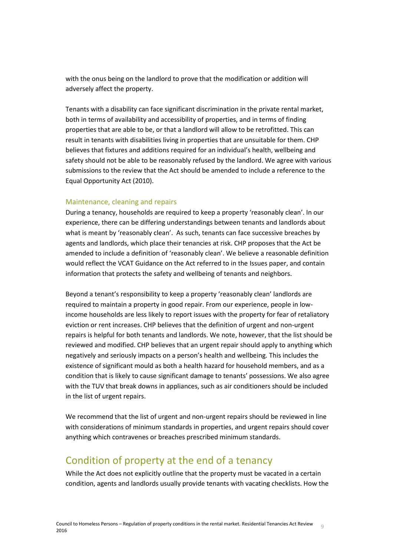with the onus being on the landlord to prove that the modification or addition will adversely affect the property.

Tenants with a disability can face significant discrimination in the private rental market, both in terms of availability and accessibility of properties, and in terms of finding properties that are able to be, or that a landlord will allow to be retrofitted. This can result in tenants with disabilities living in properties that are unsuitable for them. CHP believes that fixtures and additions required for an individual's health, wellbeing and safety should not be able to be reasonably refused by the landlord. We agree with various submissions to the review that the Act should be amended to include a reference to the Equal Opportunity Act (2010).

### Maintenance, cleaning and repairs

During a tenancy, households are required to keep a property 'reasonably clean'. In our experience, there can be differing understandings between tenants and landlords about what is meant by 'reasonably clean'. As such, tenants can face successive breaches by agents and landlords, which place their tenancies at risk. CHP proposes that the Act be amended to include a definition of 'reasonably clean'. We believe a reasonable definition would reflect the VCAT Guidance on the Act referred to in the Issues paper, and contain information that protects the safety and wellbeing of tenants and neighbors.

Beyond a tenant's responsibility to keep a property 'reasonably clean' landlords are required to maintain a property in good repair. From our experience, people in lowincome households are less likely to report issues with the property for fear of retaliatory eviction or rent increases. CHP believes that the definition of urgent and non-urgent repairs is helpful for both tenants and landlords. We note, however, that the list should be reviewed and modified. CHP believes that an urgent repair should apply to anything which negatively and seriously impacts on a person's health and wellbeing. This includes the existence of significant mould as both a health hazard for household members, and as a condition that is likely to cause significant damage to tenants' possessions. We also agree with the TUV that break downs in appliances, such as air conditioners should be included in the list of urgent repairs.

We recommend that the list of urgent and non-urgent repairs should be reviewed in line with considerations of minimum standards in properties, and urgent repairs should cover anything which contravenes or breaches prescribed minimum standards.

## <span id="page-8-0"></span>Condition of property at the end of a tenancy

While the Act does not explicitly outline that the property must be vacated in a certain condition, agents and landlords usually provide tenants with vacating checklists. How the